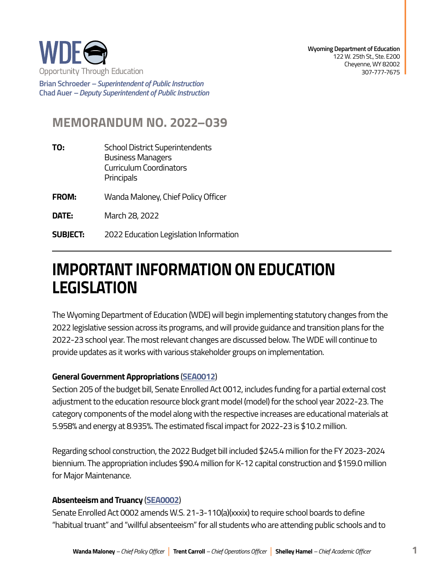

**Brian Schroeder –***Superintendent of Public Instruction*  **Chad Auer** *– Deputy Superintendent of Public Instruction* 

# **MEMORANDUM NO. 2022–039**

- **TO:** School District Superintendents Business Managers Curriculum Coordinators **Principals FROM:** Wanda Maloney, Chief Policy Officer
- **DATE:** March 28, 2022
- **SUBJECT:** 2022 Education Legislation Information

# **IMPORTANT INFORMATION ON EDUCATION LEGISLATION**

The Wyoming Department of Education (WDE) will begin implementing statutory changes from the 2022 legislative session across its programs, and will provide guidance and transition plans for the 2022-23 school year. The most relevant changes are discussed below. The WDE will continue to provide updates as it works with various stakeholder groups on implementation.

# **General Government Appropriations** (**[SEA0012](https://wyoleg.gov/Legislation/2022/SF0001)**)

Section 205 of the budget bill, Senate Enrolled Act 0012, includes funding for a partial external cost adjustment to the education resource block grant model (model) for the school year 2022-23. The category components of the model along with the respective increases are educational materials at 5.958% and energy at 8.935%. The estimated fiscal impact for 2022-23 is \$10.2 million.

Regarding school construction, the 2022 Budget bill included \$245.4 million for the FY 2023-2024 biennium. The appropriation includes \$90.4 million for K-12 capital construction and \$159.0 million for Major Maintenance.

# **Absenteeism and Truancy** (**[SEA0002](https://wyoleg.gov/Legislation/2022/SF0031)**)

Senate Enrolled Act 0002 amends W.S. 21-3-110(a)(xxxix) to require school boards to define "habitual truant" and "willful absenteeism" for all students who are attending public schools and to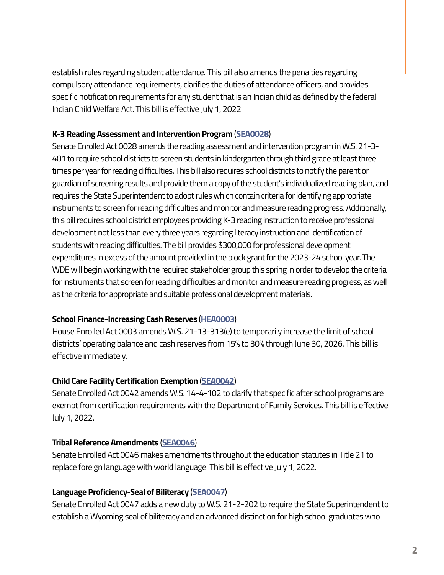establish rules regarding student attendance. This bill also amends the penalties regarding compulsory attendance requirements, clarifies the duties of attendance officers, and provides specific notification requirements for any student that is an Indian child as defined by the federal Indian Child Welfare Act. This bill is effective July 1, 2022.

#### **K-3 Reading Assessment and Intervention Program** (**[SEA0028](https://wyoleg.gov/Legislation/2022/SF0032)**)

Senate Enrolled Act 0028 amends the reading assessment and intervention program in W.S. 21-3- 401 to require school districts to screen students in kindergarten through third grade at least three times per year for reading difficulties. This bill also requires school districts to notify the parent or guardian of screening results and provide them a copy of the student's individualized reading plan, and requires the State Superintendent to adopt rules which contain criteria for identifying appropriate instruments to screen for reading difficulties and monitor and measure reading progress. Additionally, this bill requires school district employees providing K-3 reading instruction to receive professional development not less than every three years regarding literacy instruction and identification of students with reading difficulties. The bill provides \$300,000 for professional development expenditures in excess of the amount provided in the block grant for the 2023-24 school year. The WDE will begin working with the required stakeholder group this spring in order to develop the criteria for instruments that screen for reading difficulties and monitor and measure reading progress, as well as the criteria for appropriate and suitable professional development materials.

# **School Finance-Increasing Cash Reserves** (**[HEA0003](https://wyoleg.gov/Legislation/2022/HB0030)**)

House Enrolled Act 0003 amends W.S. 21-13-313(e) to temporarily increase the limit of school districts' operating balance and cash reserves from 15% to 30% through June 30, 2026. This bill is effective immediately.

# **Child Care Facility Certification Exemption** (**[SEA0042](https://wyoleg.gov/Legislation/2022/SF0085)**)

Senate Enrolled Act 0042 amends W.S. 14-4-102 to clarify that specific after school programs are exempt from certification requirements with the Department of Family Services. This bill is effective July 1, 2022.

# **Tribal Reference Amendments** (**[SEA0046](https://wyoleg.gov/Legislation/2022/HB0010)**)

Senate Enrolled Act 0046 makes amendments throughout the education statutes in Title 21 to replace foreign language with world language. This bill is effective July 1, 2022.

# **Language Proficiency-Seal of Biliteracy** (**[SEA0047](https://wyoleg.gov/Legislation/2022/SF0078)**)

Senate Enrolled Act 0047 adds a new duty to W.S. 21-2-202 to require the State Superintendent to establish a Wyoming seal of biliteracy and an advanced distinction for high school graduates who